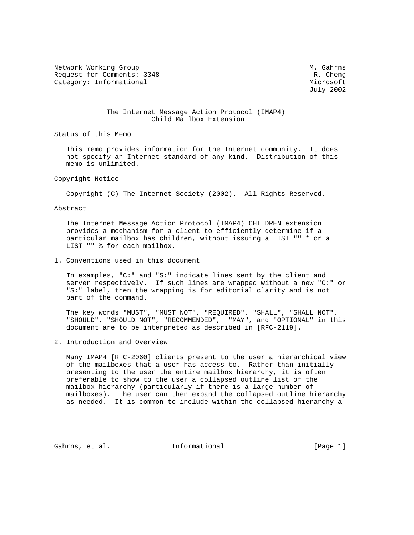Network Working Group Methods and M. Gahrns Request for Comments: 3348 R. Cheng Category: Informational Microsoft Microsoft Microsoft

July 2002

### The Internet Message Action Protocol (IMAP4) Child Mailbox Extension

Status of this Memo

 This memo provides information for the Internet community. It does not specify an Internet standard of any kind. Distribution of this memo is unlimited.

Copyright Notice

Copyright (C) The Internet Society (2002). All Rights Reserved.

Abstract

 The Internet Message Action Protocol (IMAP4) CHILDREN extension provides a mechanism for a client to efficiently determine if a particular mailbox has children, without issuing a LIST "" \* or a LIST "" % for each mailbox.

1. Conventions used in this document

 In examples, "C:" and "S:" indicate lines sent by the client and server respectively. If such lines are wrapped without a new "C:" or "S:" label, then the wrapping is for editorial clarity and is not part of the command.

 The key words "MUST", "MUST NOT", "REQUIRED", "SHALL", "SHALL NOT", "SHOULD", "SHOULD NOT", "RECOMMENDED", "MAY", and "OPTIONAL" in this document are to be interpreted as described in [RFC-2119].

2. Introduction and Overview

 Many IMAP4 [RFC-2060] clients present to the user a hierarchical view of the mailboxes that a user has access to. Rather than initially presenting to the user the entire mailbox hierarchy, it is often preferable to show to the user a collapsed outline list of the mailbox hierarchy (particularly if there is a large number of mailboxes). The user can then expand the collapsed outline hierarchy as needed. It is common to include within the collapsed hierarchy a

Gahrns, et al. Informational [Page 1]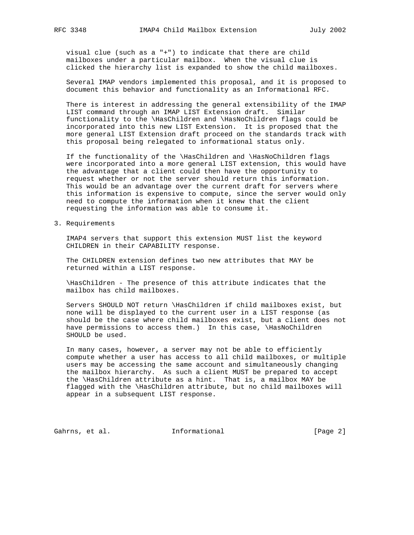visual clue (such as a "+") to indicate that there are child mailboxes under a particular mailbox. When the visual clue is clicked the hierarchy list is expanded to show the child mailboxes.

 Several IMAP vendors implemented this proposal, and it is proposed to document this behavior and functionality as an Informational RFC.

 There is interest in addressing the general extensibility of the IMAP LIST command through an IMAP LIST Extension draft. Similar functionality to the \HasChildren and \HasNoChildren flags could be incorporated into this new LIST Extension. It is proposed that the more general LIST Extension draft proceed on the standards track with this proposal being relegated to informational status only.

 If the functionality of the \HasChildren and \HasNoChildren flags were incorporated into a more general LIST extension, this would have the advantage that a client could then have the opportunity to request whether or not the server should return this information. This would be an advantage over the current draft for servers where this information is expensive to compute, since the server would only need to compute the information when it knew that the client requesting the information was able to consume it.

3. Requirements

 IMAP4 servers that support this extension MUST list the keyword CHILDREN in their CAPABILITY response.

 The CHILDREN extension defines two new attributes that MAY be returned within a LIST response.

 \HasChildren - The presence of this attribute indicates that the mailbox has child mailboxes.

 Servers SHOULD NOT return \HasChildren if child mailboxes exist, but none will be displayed to the current user in a LIST response (as should be the case where child mailboxes exist, but a client does not have permissions to access them.) In this case, \HasNoChildren SHOULD be used.

 In many cases, however, a server may not be able to efficiently compute whether a user has access to all child mailboxes, or multiple users may be accessing the same account and simultaneously changing the mailbox hierarchy. As such a client MUST be prepared to accept the \HasChildren attribute as a hint. That is, a mailbox MAY be flagged with the \HasChildren attribute, but no child mailboxes will appear in a subsequent LIST response.

Gahrns, et al. 1nformational [Page 2]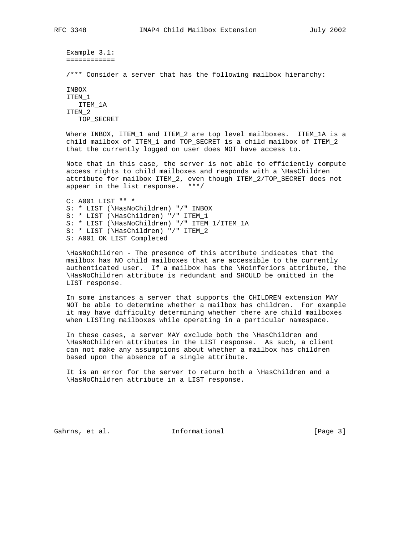```
 Example 3.1:
============
/*** Consider a server that has the following mailbox hierarchy:
INBOX
ITEM_1
  ITEM_1A
ITEM_2
```
TOP\_SECRET

Where INBOX, ITEM\_1 and ITEM\_2 are top level mailboxes. ITEM\_1A is a child mailbox of ITEM\_1 and TOP\_SECRET is a child mailbox of ITEM\_2 that the currently logged on user does NOT have access to.

 Note that in this case, the server is not able to efficiently compute access rights to child mailboxes and responds with a \HasChildren attribute for mailbox ITEM\_2, even though ITEM\_2/TOP\_SECRET does not appear in the list response. \*\*\*/

 C: A001 LIST "" \* S: \* LIST (\HasNoChildren) "/" INBOX S: \* LIST (\HasChildren) "/" ITEM\_1 S: \* LIST (\HasNoChildren) "/" ITEM\_1/ITEM\_1A S: \* LIST (\HasChildren) "/" ITEM\_2 S: A001 OK LIST Completed

 \HasNoChildren - The presence of this attribute indicates that the mailbox has NO child mailboxes that are accessible to the currently authenticated user. If a mailbox has the \Noinferiors attribute, the \HasNoChildren attribute is redundant and SHOULD be omitted in the LIST response.

 In some instances a server that supports the CHILDREN extension MAY NOT be able to determine whether a mailbox has children. For example it may have difficulty determining whether there are child mailboxes when LISTing mailboxes while operating in a particular namespace.

 In these cases, a server MAY exclude both the \HasChildren and \HasNoChildren attributes in the LIST response. As such, a client can not make any assumptions about whether a mailbox has children based upon the absence of a single attribute.

 It is an error for the server to return both a \HasChildren and a \HasNoChildren attribute in a LIST response.

Gahrns, et al. Informational [Page 3]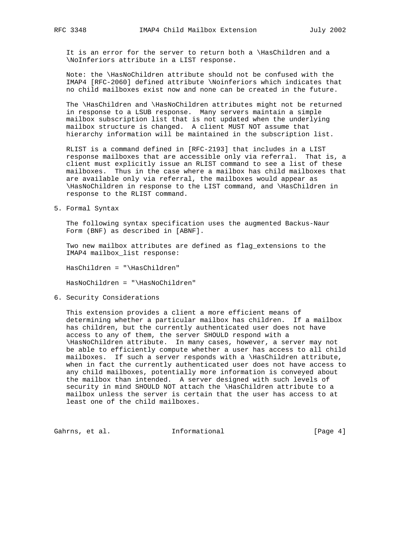It is an error for the server to return both a \HasChildren and a \NoInferiors attribute in a LIST response.

 Note: the \HasNoChildren attribute should not be confused with the IMAP4 [RFC-2060] defined attribute \Noinferiors which indicates that no child mailboxes exist now and none can be created in the future.

 The \HasChildren and \HasNoChildren attributes might not be returned in response to a LSUB response. Many servers maintain a simple mailbox subscription list that is not updated when the underlying mailbox structure is changed. A client MUST NOT assume that hierarchy information will be maintained in the subscription list.

 RLIST is a command defined in [RFC-2193] that includes in a LIST response mailboxes that are accessible only via referral. That is, a client must explicitly issue an RLIST command to see a list of these mailboxes. Thus in the case where a mailbox has child mailboxes that are available only via referral, the mailboxes would appear as \HasNoChildren in response to the LIST command, and \HasChildren in response to the RLIST command.

5. Formal Syntax

 The following syntax specification uses the augmented Backus-Naur Form (BNF) as described in [ABNF].

 Two new mailbox attributes are defined as flag\_extensions to the IMAP4 mailbox\_list response:

HasChildren = "\HasChildren"

HasNoChildren = "\HasNoChildren"

6. Security Considerations

 This extension provides a client a more efficient means of determining whether a particular mailbox has children. If a mailbox has children, but the currently authenticated user does not have access to any of them, the server SHOULD respond with a \HasNoChildren attribute. In many cases, however, a server may not be able to efficiently compute whether a user has access to all child mailboxes. If such a server responds with a \HasChildren attribute, when in fact the currently authenticated user does not have access to any child mailboxes, potentially more information is conveyed about the mailbox than intended. A server designed with such levels of security in mind SHOULD NOT attach the \HasChildren attribute to a mailbox unless the server is certain that the user has access to at least one of the child mailboxes.

Gahrns, et al. 1nformational (Page 4)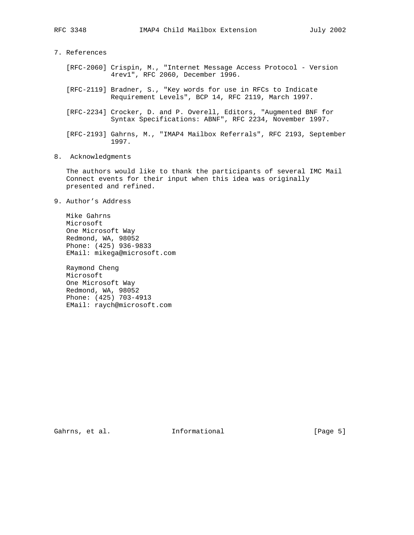# 7. References

- [RFC-2060] Crispin, M., "Internet Message Access Protocol Version 4rev1", RFC 2060, December 1996.
- [RFC-2119] Bradner, S., "Key words for use in RFCs to Indicate Requirement Levels", BCP 14, RFC 2119, March 1997.
- [RFC-2234] Crocker, D. and P. Overell, Editors, "Augmented BNF for Syntax Specifications: ABNF", RFC 2234, November 1997.
- [RFC-2193] Gahrns, M., "IMAP4 Mailbox Referrals", RFC 2193, September 1997.

# 8. Acknowledgments

 The authors would like to thank the participants of several IMC Mail Connect events for their input when this idea was originally presented and refined.

9. Author's Address

 Mike Gahrns Microsoft One Microsoft Way Redmond, WA, 98052 Phone: (425) 936-9833 EMail: mikega@microsoft.com

 Raymond Cheng Microsoft One Microsoft Way Redmond, WA, 98052 Phone: (425) 703-4913 EMail: raych@microsoft.com

Gahrns, et al. 1nformational 1999 [Page 5]